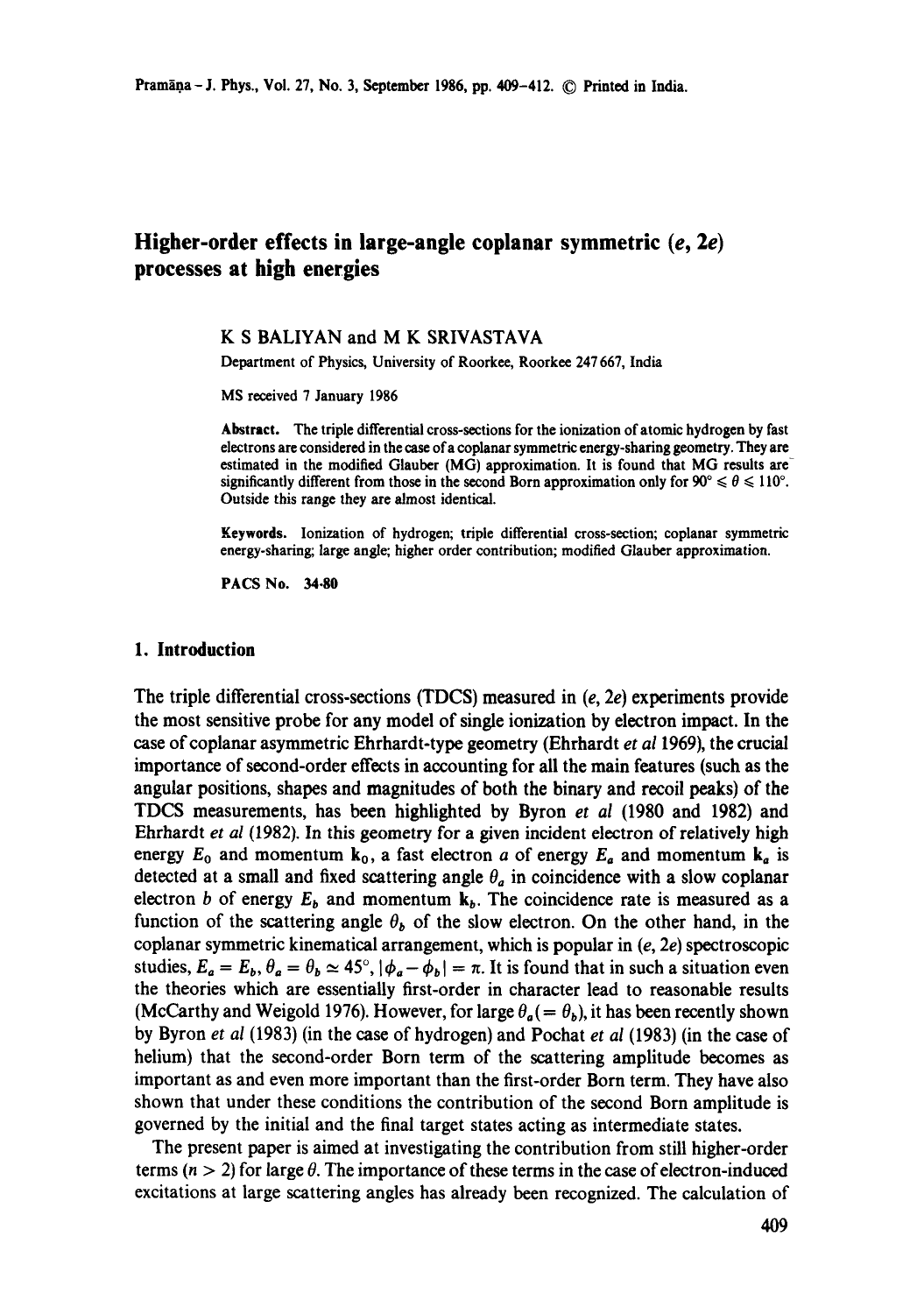# **Higher-order effects in large-angle coplanar symmetric (e, 2e) processes at high energies**

#### **K S BALIYAN and M K SRIVASTAVA**

Department of Physics, University of Roorkee, Roorkee 247 667, India

MS received 7 January 1986

**Abstract.** The triple differential cross-sections for the ionization of atomic hydrogen by fast electrons are considered in the case ofa coplanar symmetric energy-sharing geometry. They are estimated in the modified Glauber (MG) approximation. It is found that MG results are significantly different from those in the second Born approximation only for  $90^{\circ} \le \theta \le 110^{\circ}$ . Outside this range they are almost identical.

**Keywords.** Ionization of hydrogen; triple differential cross-section; coplanar symmetric energy-sharing; large angle; higher order contribution; modified Glauber approximation.

PACS No. 34.80

#### **1. Introduction**

The triple differential cross-sections (TDCS) measured in  $(e, 2e)$  experiments provide the most sensitive probe for any model of single ionization by electron impact. In the case ofcoplanar asymmetric Ehrhardt-type geometry (Ehrhardt *et a11969),* the crucial importance of second-order effects in accounting for all the main features (such as the angular positions, shapes and magnitudes of both the binary and recoil peaks) of the TDCS measurements, has been highlighted by Byron *et al* (1980 and 1982) and Ehrhardt *et al* (1982). In this geometry for a given incident electron of relatively high energy  $E_0$  and momentum  $k_0$ , a fast electron a of energy  $E_a$  and momentum  $k_a$  is detected at a small and fixed scattering angle  $\theta_a$  in coincidence with a slow coplanar electron b of energy  $E_b$  and momentum  $k_b$ . The coincidence rate is measured as a function of the scattering angle  $\theta_b$  of the slow electron. On the other hand, in the coplanar symmetric kinematical arrangement, which is popular in  $(e, 2e)$  spectroscopic studies,  $E_a = E_b$ ,  $\theta_a = \theta_b \approx 45^\circ$ ,  $|\phi_a - \phi_b| = \pi$ . It is found that in such a situation even the theories which are essentially first-order in character lead to reasonable results (McCarthy and Weigold 1976). However, for large  $\theta_a(=\theta_b)$ , it has been recently shown by Byron *et al* (1983) (in the case of hydrogen) and Pochat *et al* (1983) (in the case of helium) that the second-order Born term of the scattering amplitude becomes as important as and even more important than the first-order Born term. They have also shown that under these conditions the contribution of the second Born amplitude is governed by the initial and the final target states acting as intermediate states.

The present paper is aimed at investigating the contribution from still higher-order terms ( $n > 2$ ) for large  $\theta$ . The importance of these terms in the case of electron-induced excitations at large scattering angles has already been recognized. The calculation of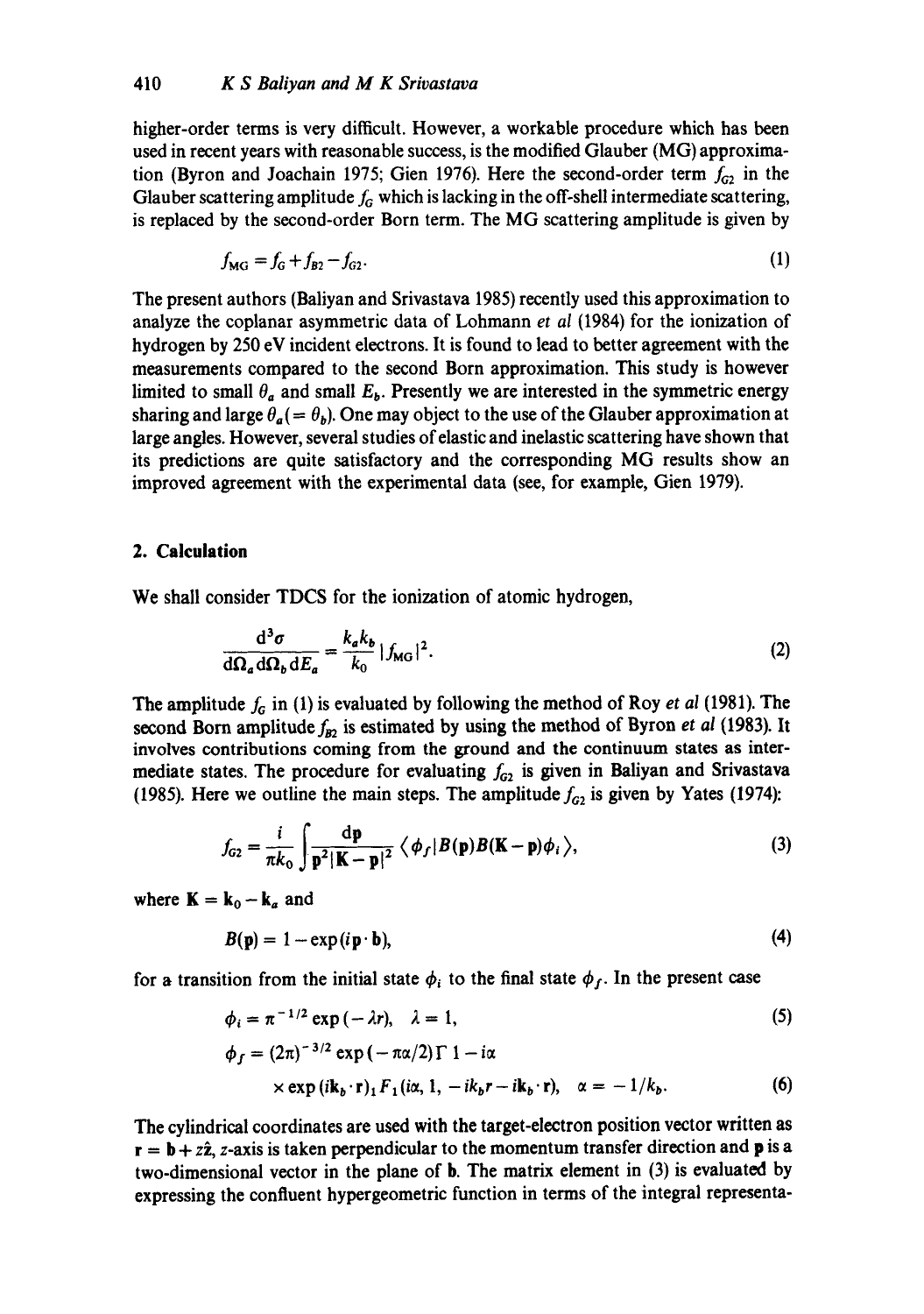higher-order terms is very difficult. However, a workable procedure which has been used in recent years with reasonable success, is the modified Glauber (MG) approximation (Byron and Joachain 1975; Gien 1976). Here the second-order term  $f_{G_2}$  in the Glauber scattering amplitude  $f<sub>G</sub>$  which is lacking in the off-shell intermediate scattering, is replaced by the second-order Born term. The MG scattering amplitude is given by

$$
f_{\rm MG} = f_{\rm G} + f_{\rm B2} - f_{\rm G2}.
$$
 (1)

The present authors (Baliyan and Srivastava 1985) recently used this approximation to analyze the coplanar asymmetric data of Lohmann *et al* (1984) for the ionization of hydrogen by 250 eV incident electrons. It is found to lead to better agreement with the measurements compared to the second Born approximation. This study is however limited to small  $\theta_a$  and small  $E_b$ . Presently we are interested in the symmetric energy sharing and large  $\theta_a(=\theta_b)$ . One may object to the use of the Glauber approximation at large angles. However, several studies of elastic and inelastic scattering have shown that its predictions are quite satisfactory and the corresponding MG results show an improved agreement with the experimental data (see, for example, Gien 1979).

### **2. Calculation**

We shall consider TDCS for the ionization of atomic hydrogen,

$$
\frac{\mathrm{d}^3 \sigma}{\mathrm{d}\Omega_a \,\mathrm{d}\Omega_b \,\mathrm{d}E_a} = \frac{k_a k_b}{k_0} |f_{\text{MG}}|^2. \tag{2}
$$

The amplitude  $f_G$  in (1) is evaluated by following the method of Roy *et al* (1981). The second Born amplitude  $f_{B2}$  is estimated by using the method of Byron *et al* (1983). It involves contributions coming from the ground and the continuum states as intermediate states. The procedure for evaluating  $f_{G2}$  is given in Baliyan and Srivastava (1985). Here we outline the main steps. The amplitude  $f_{G2}$  is given by Yates (1974):

$$
f_{G2} = \frac{i}{\pi k_0} \int \frac{\mathrm{d}\mathbf{p}}{\mathbf{p}^2 |\mathbf{K} - \mathbf{p}|^2} \langle \phi_f | B(\mathbf{p}) B(\mathbf{K} - \mathbf{p}) \phi_i \rangle, \tag{3}
$$

where  $\mathbf{K} = \mathbf{k}_0 - \mathbf{k}_a$  and

$$
B(\mathbf{p}) = 1 - \exp(i\mathbf{p} \cdot \mathbf{b}),\tag{4}
$$

for a transition from the initial state  $\phi_i$  to the final state  $\phi_f$ . In the present case

$$
\phi_i = \pi^{-1/2} \exp(-\lambda r), \quad \lambda = 1,
$$
\n(5)

$$
\phi_f = (2\pi)^{-3/2} \exp(-\pi \alpha/2) \Gamma \ 1 - i\alpha
$$
  
×  $\exp(i\mathbf{k}_b \cdot \mathbf{r})_1 F_1(i\alpha, 1, -ik_b r - i\mathbf{k}_b \cdot \mathbf{r}), \quad \alpha = -1/k_b.$  (6)

The cylindrical coordinates are used with the target-electron position vector written as  $r = b + z\hat{z}$ , z-axis is taken perpendicular to the momentum transfer direction and p is a two-dimensional vector in the plane of b. The matrix element in (3) is evaluated by expressing the confluent hypergeometric function in terms of the integral representa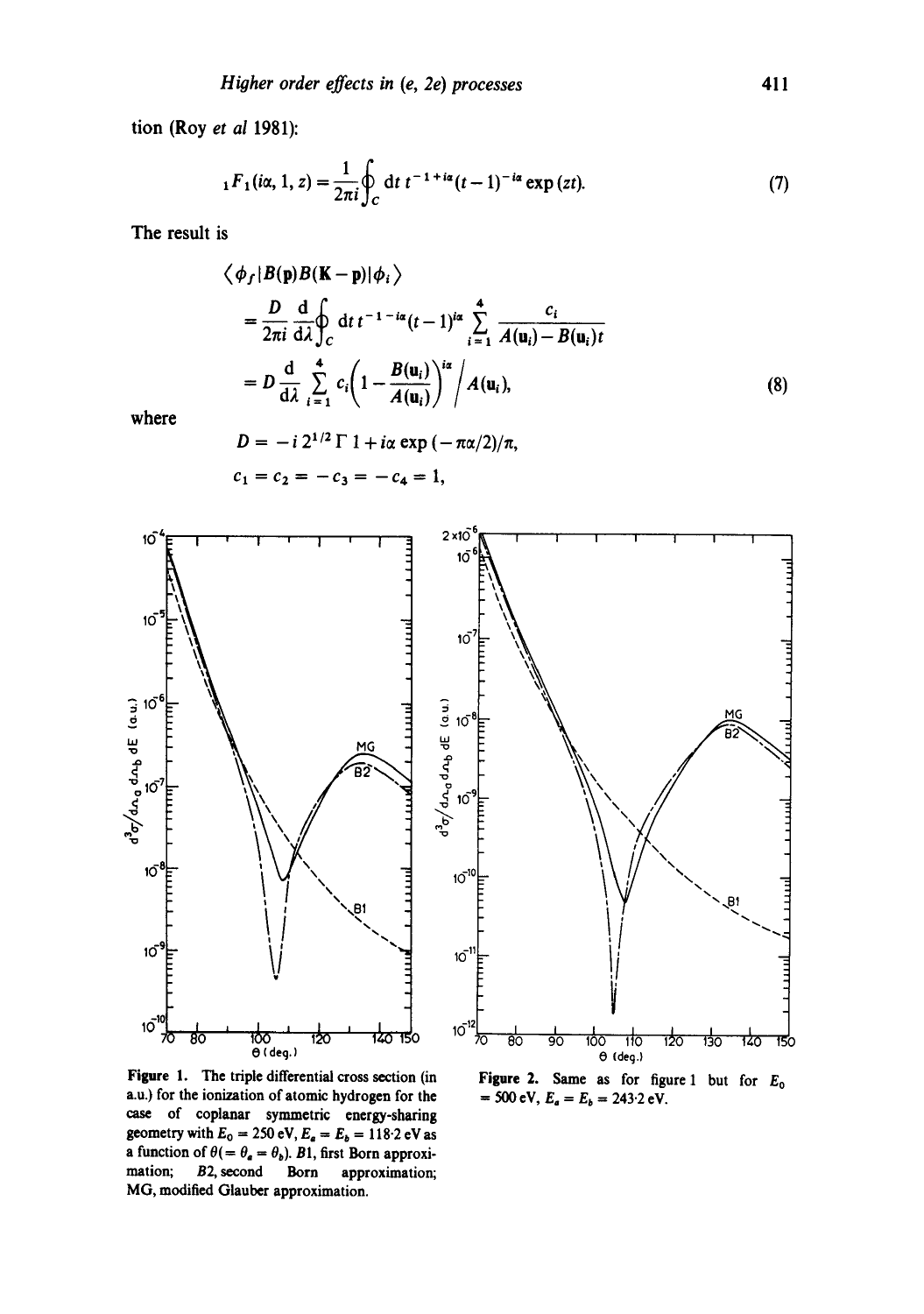**tion (Roy** *et al* **1981):** 

$$
{}_1F_1(i\alpha, 1, z) = \frac{1}{2\pi i} \oint_C dt \ t^{-1 + i\alpha} (t - 1)^{-i\alpha} \exp(zt). \tag{7}
$$

**The result is** 

$$
\langle \phi_f | B(\mathbf{p}) B(\mathbf{K} - \mathbf{p}) | \phi_i \rangle
$$
  
=  $\frac{D}{2\pi i} \frac{d}{d\lambda} \oint_C dt t^{-1-i\alpha} (t-1)^{i\alpha} \sum_{i=1}^4 \frac{c_i}{A(\mathbf{u}_i) - B(\mathbf{u}_i)t}$   
=  $D \frac{d}{d\lambda} \sum_{i=1}^4 c_i \left(1 - \frac{B(\mathbf{u}_i)}{A(\mathbf{u}_i)}\right)^{i\alpha} / A(\mathbf{u}_i),$  (8)

**where** 

$$
D = -i 2^{1/2} \Gamma \ 1 + i\alpha \exp(-\pi \alpha/2)/\pi,
$$
  

$$
c_1 = c_2 = -c_3 = -c_4 = 1,
$$



**Figure I. The triple differential cross section (in a.u.) for the ionization of atomic hydrogen for the case of coplanar symmetric energy-sharing geometry with**  $E_0 = 250 \text{ eV}$ **,**  $E_a = E_b = 118.2 \text{ eV}$  **as a** function of  $\theta$ (=  $\theta_a = \theta_b$ ). B1, first Born approxi**mation; B2, second Born approximation; MG, modified Glauber approximation.** 

**Figure 2. Same as for figure 1 but for Eo**  $= 500 \text{ eV}, E_a = E_b = 243.2 \text{ eV}.$